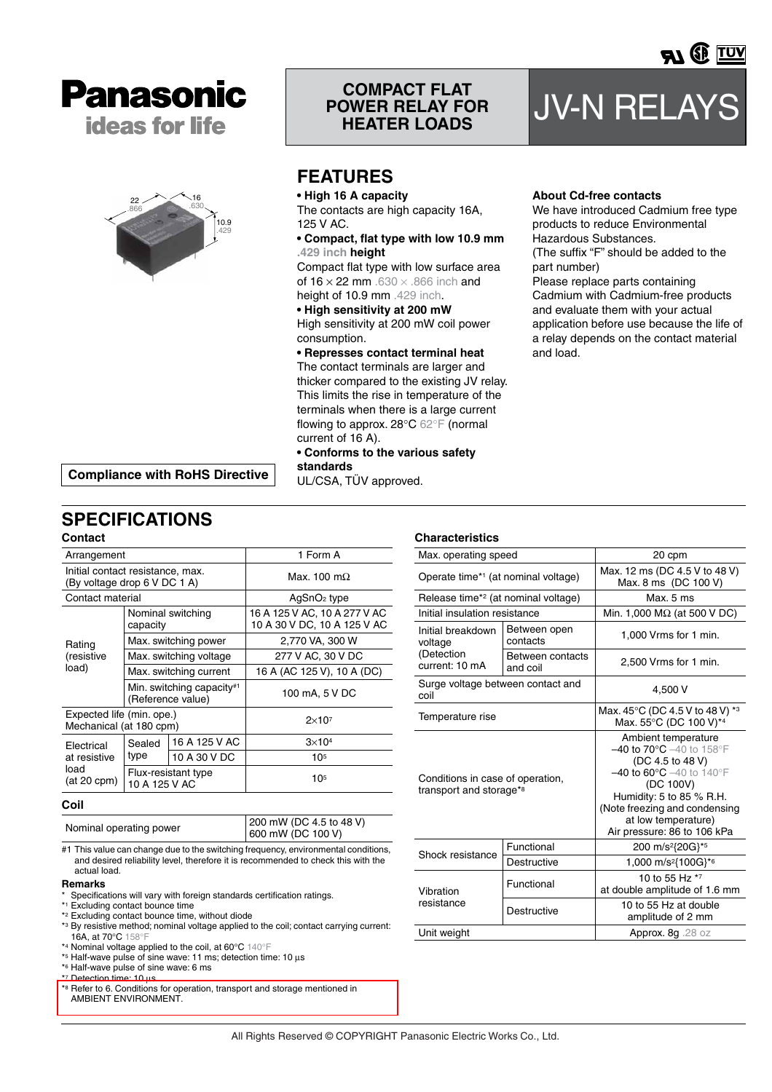



# **COMPACT FLAT POWER RELAY FOR**

## **FEATURES**

**standards**

UL/CSA, TÜV approved.

**• High 16 A capacity**

The contacts are high capacity 16A, 125 V AC.

**• Compact, flat type with low 10.9 mm .429 inch height**

Compact flat type with low surface area of  $16 \times 22$  mm  $.630 \times .866$  inch and height of 10.9 mm .429 inch.

**• High sensitivity at 200 mW** High sensitivity at 200 mW coil power consumption.

**• Represses contact terminal heat** The contact terminals are larger and thicker compared to the existing JV relay.

This limits the rise in temperature of the terminals when there is a large current flowing to approx. 28°C 62°F (normal current of 16 A). **• Conforms to the various safety** 

**JV-N RELAYS** 

<u>)</u> <u>Tuv</u>

## **About Cd-free contacts**

and load.

We have introduced Cadmium free type products to reduce Environmental Hazardous Substances. (The suffix "F" should be added to the part number) Please replace parts containing Cadmium with Cadmium-free products and evaluate them with your actual application before use because the life of a relay depends on the contact material

**Compliance with RoHS Directive**

## **SPECIFICATIONS**

| Contact                                                          |                                      |                                                |                                                             |  |  |
|------------------------------------------------------------------|--------------------------------------|------------------------------------------------|-------------------------------------------------------------|--|--|
| Arrangement                                                      |                                      |                                                | 1 Form A                                                    |  |  |
| Initial contact resistance, max.<br>(By voltage drop 6 V DC 1 A) |                                      |                                                | Max. 100 m $\Omega$                                         |  |  |
| Contact material                                                 |                                      |                                                | AgSnO <sub>2</sub> type                                     |  |  |
| Rating<br>(resistive<br>load)                                    | capacity                             | Nominal switching                              | 16 A 125 V AC, 10 A 277 V AC<br>10 A 30 V DC, 10 A 125 V AC |  |  |
|                                                                  |                                      | Max. switching power                           | 2,770 VA, 300 W                                             |  |  |
|                                                                  |                                      | Max. switching voltage                         | 277 V AC, 30 V DC                                           |  |  |
|                                                                  |                                      | Max. switching current                         | 16 A (AC 125 V), 10 A (DC)                                  |  |  |
|                                                                  |                                      | Min. switching capacity#1<br>(Reference value) | 100 mA, 5 V DC                                              |  |  |
| Expected life (min. ope.)<br>Mechanical (at 180 cpm)             |                                      |                                                | $2\times10^7$                                               |  |  |
| Electrical<br>at resistive<br>load<br>$(at 20$ cpm $)$           | Sealed<br>type                       | 16 A 125 V AC                                  | $3\times104$                                                |  |  |
|                                                                  |                                      | 10 A 30 V DC                                   | 105                                                         |  |  |
|                                                                  | Flux-resistant type<br>10 A 125 V AC |                                                | 10 <sup>5</sup>                                             |  |  |

#### **Coil**

Nominal operating power 200 mW (DC 4.5 to 48 V) 600 mW (DC 100 V)

#1 This value can change due to the switching frequency, environmental conditions, and desired reliability level, therefore it is recommended to check this with the actual load.

#### **Remarks**

- Specifications will vary with foreign standards certification ratings.
- \*1 Excluding contact bounce time
- \*2 Excluding contact bounce time, without diode
- \*3 By resistive method; nominal voltage applied to the coil; contact carrying current: 16A, at 70°C 158°F \*4 Nominal voltage applied to the coil, at 60°C 140°F
- \*5 Half-wave pulse of sine wave: 11 ms; detection time: 10 µs
- \*6 Half-wave pulse of sine wave: 6 ms
- \*7 Detection time: 10 µs
- \*8 [Refer to 6. Conditions for operation, transport and storage mentioned in](http://panasonic-denko.co.jp/ac/e_download/control/relay/common/catalog/mech_eng_cau_general.pdf)  AMBIENT ENVIRONMENT.

### **Characteristics**

| Max. operating speed                                                    |                              | 20 cpm                                                                                                                                                                                                                                                                              |  |  |  |
|-------------------------------------------------------------------------|------------------------------|-------------------------------------------------------------------------------------------------------------------------------------------------------------------------------------------------------------------------------------------------------------------------------------|--|--|--|
| Operate time* <sup>1</sup> (at nominal voltage)                         |                              | Max. 12 ms (DC 4.5 V to 48 V)<br>Max. 8 ms (DC 100 V)                                                                                                                                                                                                                               |  |  |  |
| Release time* <sup>2</sup> (at nominal voltage)                         |                              | Max.5 ms                                                                                                                                                                                                                                                                            |  |  |  |
| Initial insulation resistance                                           |                              | Min. 1,000 $M\Omega$ (at 500 V DC)                                                                                                                                                                                                                                                  |  |  |  |
| Initial breakdown<br>voltage                                            | Between open<br>contacts     | 1,000 Vrms for 1 min.                                                                                                                                                                                                                                                               |  |  |  |
| (Detection<br>current: 10 mA                                            | Between contacts<br>and coil | 2,500 Vrms for 1 min.                                                                                                                                                                                                                                                               |  |  |  |
| Surge voltage between contact and<br>coil                               |                              | 4,500 V                                                                                                                                                                                                                                                                             |  |  |  |
| Temperature rise                                                        |                              | Max. 45°C (DC 4.5 V to 48 V) *3<br>Max. 55°C (DC 100 V)*4                                                                                                                                                                                                                           |  |  |  |
| Conditions in case of operation,<br>transport and storage* <sup>8</sup> |                              | Ambient temperature<br>$-40$ to $70^{\circ}$ C $-40$ to $158^{\circ}$ F<br>(DC 4.5 to 48 V)<br>$-40$ to 60 $^{\circ}$ C $-40$ to 140 $^{\circ}$ F<br>(DC 100V)<br>Humidity: 5 to 85 $%$ R.H.<br>(Note freezing and condensing<br>at low temperature)<br>Air pressure: 86 to 106 kPa |  |  |  |
| Shock resistance                                                        | Functional                   | 200 m/s <sup>2</sup> {20G}* <sup>5</sup>                                                                                                                                                                                                                                            |  |  |  |
|                                                                         | Destructive                  | 1,000 m/s <sup>2</sup> {100G}* <sup>6</sup>                                                                                                                                                                                                                                         |  |  |  |
| Vibration                                                               | Functional                   | 10 to 55 Hz *7<br>at double amplitude of 1.6 mm                                                                                                                                                                                                                                     |  |  |  |
| resistance                                                              | Destructive                  | 10 to 55 Hz at double<br>amplitude of 2 mm                                                                                                                                                                                                                                          |  |  |  |
| Unit weight                                                             |                              | Approx. 8g .28 oz                                                                                                                                                                                                                                                                   |  |  |  |

All Rights Reserved © COPYRIGHT Panasonic Electric Works Co., Ltd.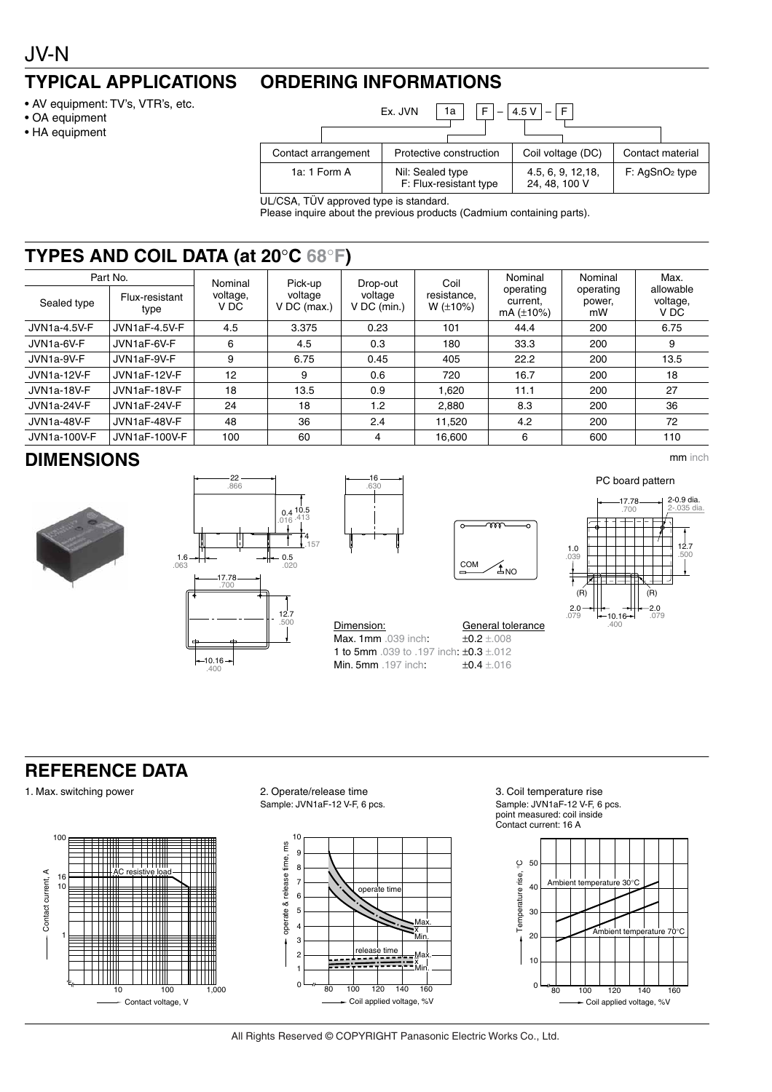#### **TYPICAL APPLICATIONS ORDERING INFORMATIONS**

- AV equipment: TV's, VTR's, etc.
- OA equipment
- HA equipment



UL/CSA, TÜV approved type is standard.

Please inquire about the previous products (Cadmium containing parts).

## **TYPES AND COIL DATA (at 20**°**C 68**°**F)**

| Sealed type            | Part No.<br>Flux-resistant<br>type | Nominal<br>voltage,<br>V DC | Pick-up<br>voltage<br>$V$ DC (max.) | Drop-out<br>voltage<br>$V$ DC (min.) | Coil<br>resistance.<br>$W (\pm 10\%)$ | Nominal<br>operating<br>current.<br>mA $(\pm 10\%)$ | Nominal<br>operating<br>power,<br>mW | Max.<br>allowable<br>voltage,<br>V DC |
|------------------------|------------------------------------|-----------------------------|-------------------------------------|--------------------------------------|---------------------------------------|-----------------------------------------------------|--------------------------------------|---------------------------------------|
| JVN1a-4.5V-F           | JVN1aF-4.5V-F                      | 4.5                         | 3.375                               | 0.23                                 | 101                                   | 44.4                                                | 200                                  | 6.75                                  |
| JVN <sub>1a-6V-F</sub> | JVN1aF-6V-F                        | 6                           | 4.5                                 | 0.3                                  | 180                                   | 33.3                                                | 200                                  | 9                                     |
| JVN <sub>1a-9V-F</sub> | JVN1aF-9V-F                        | 9                           | 6.75                                | 0.45                                 | 405                                   | 22.2                                                | 200                                  | 13.5                                  |
| <b>JVN1a-12V-F</b>     | JVN1aF-12V-F                       | 12                          | 9                                   | 0.6                                  | 720                                   | 16.7                                                | 200                                  | 18                                    |
| JVN1a-18V-F            | JVN1aF-18V-F                       | 18                          | 13.5                                | 0.9                                  | 1.620                                 | 11.1                                                | 200                                  | 27                                    |
| JVN1a-24V-F            | JVN1aF-24V-F                       | 24                          | 18                                  | 1.2 <sub>2</sub>                     | 2.880                                 | 8.3                                                 | 200                                  | 36                                    |
| JVN1a-48V-F            | JVN1aF-48V-F                       | 48                          | 36                                  | 2.4                                  | 11.520                                | 4.2                                                 | 200                                  | 72                                    |
| <b>JVN1a-100V-F</b>    | JVN1aF-100V-F                      | 100                         | 60                                  | 4                                    | 16,600                                | 6                                                   | 600                                  | 110                                   |

## **DIMENSIONS** mm inch







Min. 5mm .197 inch:

Max. 1mm .039 inch:  $±0.2 ±008$ **1 to 5mm** .039 to .197 inch:  $\pm 0.3 \pm .012$ <br>**Min. 5mm** .197 inch:  $\pm 0.4 \pm .016$ 

Dimension: General tolerance COM  $\mathfrak{A}_{\text{NO}}$ 

 $\overline{\mathfrak{w}}$ 



# **REFERENCE DATA**





1. Max. switching power 2. Operate/release time Sample: JVN1aF-12 V-F, 6 pcs.



3. Coil temperature rise Sample: JVN1aF-12 V-F, 6 pcs. point measured: coil inside Contact current: 16 A



All Rights Reserved © COPYRIGHT Panasonic Electric Works Co., Ltd.

PC board pattern